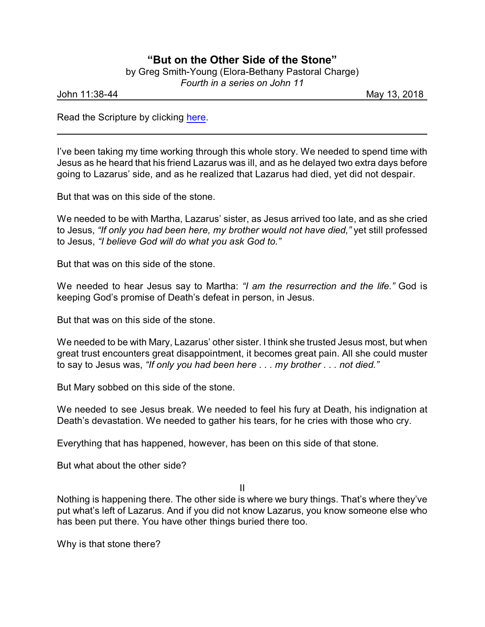## **"But on the Other Side of the Stone"**

|  |  | by Greg Smith-Young (Elora-Bethany Pastoral Charge) |  |  |
|--|--|-----------------------------------------------------|--|--|
|  |  |                                                     |  |  |

*Fourth in a series on John 11*

John 11:38-44 May 13, 2018

Read the Scripture by clicking [here](https://www.biblegateway.com/passage/?search=John+11%3A38-44&version=CEB).

I've been taking my time working through this whole story. We needed to spend time with Jesus as he heard that his friend Lazarus was ill, and as he delayed two extra days before going to Lazarus' side, and as he realized that Lazarus had died, yet did not despair.

But that was on this side of the stone.

We needed to be with Martha, Lazarus' sister, as Jesus arrived too late, and as she cried to Jesus, *"If only you had been here, my brother would not have died,"* yet still professed to Jesus, *"I believe God will do what you ask God to."*

But that was on this side of the stone.

We needed to hear Jesus say to Martha: *"I am the resurrection and the life."* God is keeping God's promise of Death's defeat in person, in Jesus.

But that was on this side of the stone.

We needed to be with Mary, Lazarus' other sister. I think she trusted Jesus most, but when great trust encounters great disappointment, it becomes great pain. All she could muster to say to Jesus was, *"If only you had been here . . . my brother . . . not died."*

But Mary sobbed on this side of the stone.

We needed to see Jesus break. We needed to feel his fury at Death, his indignation at Death's devastation. We needed to gather his tears, for he cries with those who cry.

Everything that has happened, however, has been on this side of that stone.

But what about the other side?

II

Nothing is happening there. The other side is where we bury things. That's where they've put what's left of Lazarus. And if you did not know Lazarus, you know someone else who has been put there. You have other things buried there too.

Why is that stone there?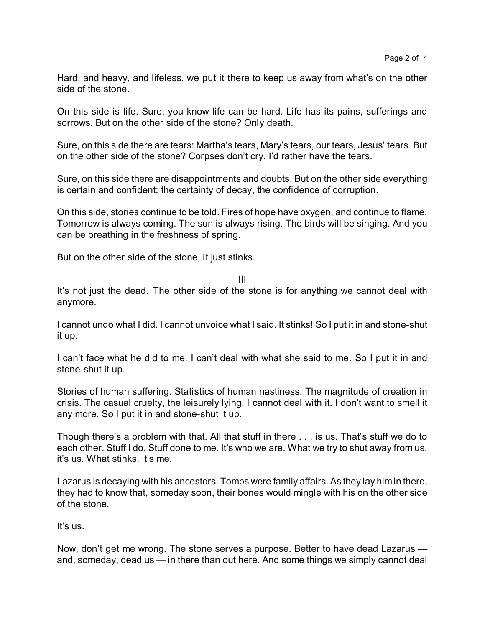Hard, and heavy, and lifeless, we put it there to keep us away from what's on the other side of the stone.

On this side is life. Sure, you know life can be hard. Life has its pains, sufferings and sorrows. But on the other side of the stone? Only death.

Sure, on this side there are tears: Martha's tears, Mary's tears, our tears, Jesus' tears. But on the other side of the stone? Corpses don't cry. I'd rather have the tears.

Sure, on this side there are disappointments and doubts. But on the other side everything is certain and confident: the certainty of decay, the confidence of corruption.

On this side, stories continue to be told. Fires of hope have oxygen, and continue to flame. Tomorrow is always coming. The sun is always rising. The birds will be singing. And you can be breathing in the freshness of spring.

But on the other side of the stone, it just stinks.

III

It's not just the dead. The other side of the stone is for anything we cannot deal with anymore.

I cannot undo what I did. I cannot unvoice what I said. It stinks! So I put it in and stone-shut it up.

I can't face what he did to me. I can't deal with what she said to me. So I put it in and stone-shut it up.

Stories of human suffering. Statistics of human nastiness. The magnitude of creation in crisis. The casual cruelty, the leisurely lying. I cannot deal with it. I don't want to smell it any more. So I put it in and stone-shut it up.

Though there's a problem with that. All that stuff in there . . . is us. That's stuff we do to each other. Stuff I do. Stuff done to me. It's who we are. What we try to shut away from us, it's us. What stinks, it's me.

Lazarus is decaying with his ancestors. Tombs were family affairs. As they lay him in there, they had to know that, someday soon, their bones would mingle with his on the other side of the stone.

It's us.

Now, don't get me wrong. The stone serves a purpose. Better to have dead Lazarus and, someday, dead us — in there than out here. And some things we simply cannot deal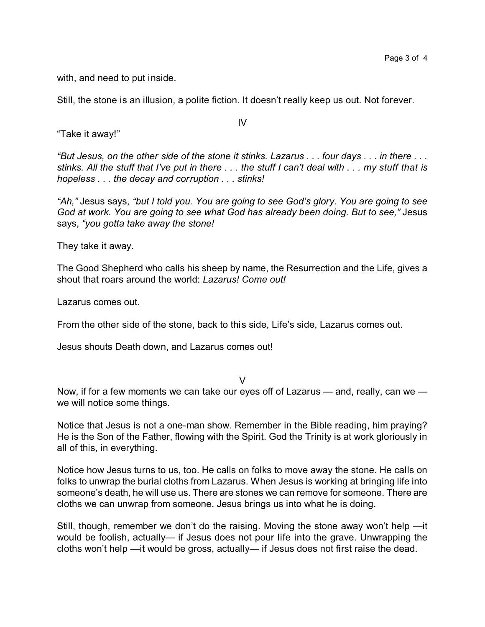with, and need to put inside.

Still, the stone is an illusion, a polite fiction. It doesn't really keep us out. Not forever.

"Take it away!"

*"But Jesus, on the other side of the stone it stinks. Lazarus . . . four days . . . in there . . . stinks. All the stuff that I've put in there . . . the stuff I can't deal with . . . my stuff that is hopeless . . . the decay and corruption . . . stinks!* 

*"Ah,"* Jesus says, *"but I told you. You are going to see God's glory. You are going to see God at work. You are going to see what God has already been doing. But to see,"* Jesus says, *"you gotta take away the stone!*

They take it away.

The Good Shepherd who calls his sheep by name, the Resurrection and the Life, gives a shout that roars around the world: *Lazarus! Come out!*

Lazarus comes out.

From the other side of the stone, back to this side, Life's side, Lazarus comes out.

Jesus shouts Death down, and Lazarus comes out!

V

Now, if for a few moments we can take our eyes off of Lazarus — and, really, can we we will notice some things.

Notice that Jesus is not a one-man show. Remember in the Bible reading, him praying? He is the Son of the Father, flowing with the Spirit. God the Trinity is at work gloriously in all of this, in everything.

Notice how Jesus turns to us, too. He calls on folks to move away the stone. He calls on folks to unwrap the burial cloths from Lazarus. When Jesus is working at bringing life into someone's death, he will use us. There are stones we can remove for someone. There are cloths we can unwrap from someone. Jesus brings us into what he is doing.

Still, though, remember we don't do the raising. Moving the stone away won't help —it would be foolish, actually— if Jesus does not pour life into the grave. Unwrapping the cloths won't help —it would be gross, actually— if Jesus does not first raise the dead.

IV